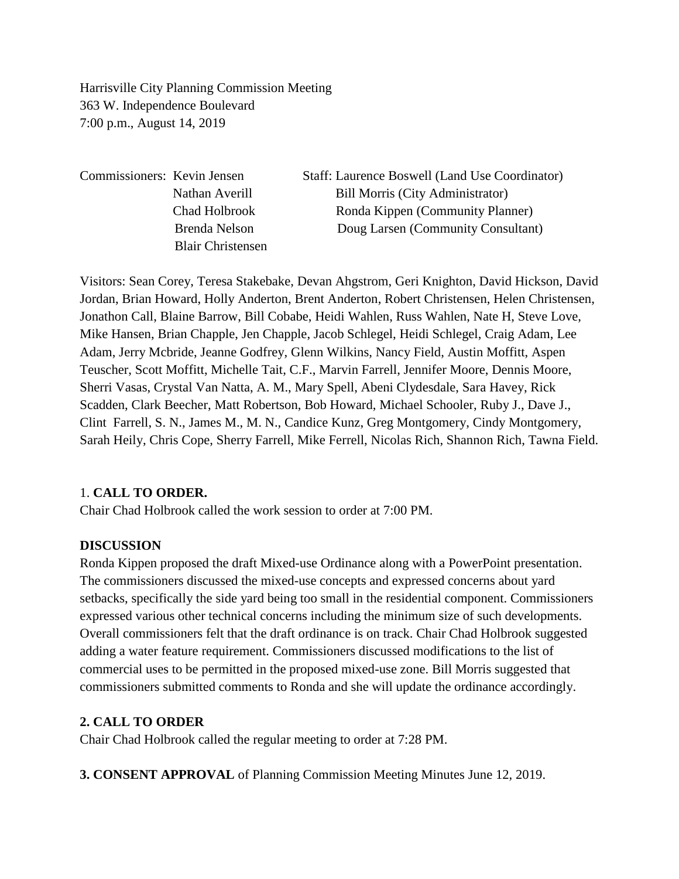Harrisville City Planning Commission Meeting 363 W. Independence Boulevard 7:00 p.m., August 14, 2019

Commissioners: Kevin Jensen Staff: Laurence Boswell (Land Use Coordinator) Nathan Averill Bill Morris (City Administrator) Chad Holbrook Ronda Kippen (Community Planner) Brenda Nelson Doug Larsen (Community Consultant) Blair Christensen

Visitors: Sean Corey, Teresa Stakebake, Devan Ahgstrom, Geri Knighton, David Hickson, David Jordan, Brian Howard, Holly Anderton, Brent Anderton, Robert Christensen, Helen Christensen, Jonathon Call, Blaine Barrow, Bill Cobabe, Heidi Wahlen, Russ Wahlen, Nate H, Steve Love, Mike Hansen, Brian Chapple, Jen Chapple, Jacob Schlegel, Heidi Schlegel, Craig Adam, Lee Adam, Jerry Mcbride, Jeanne Godfrey, Glenn Wilkins, Nancy Field, Austin Moffitt, Aspen Teuscher, Scott Moffitt, Michelle Tait, C.F., Marvin Farrell, Jennifer Moore, Dennis Moore, Sherri Vasas, Crystal Van Natta, A. M., Mary Spell, Abeni Clydesdale, Sara Havey, Rick Scadden, Clark Beecher, Matt Robertson, Bob Howard, Michael Schooler, Ruby J., Dave J., Clint Farrell, S. N., James M., M. N., Candice Kunz, Greg Montgomery, Cindy Montgomery, Sarah Heily, Chris Cope, Sherry Farrell, Mike Ferrell, Nicolas Rich, Shannon Rich, Tawna Field.

### 1. **CALL TO ORDER.**

Chair Chad Holbrook called the work session to order at 7:00 PM.

#### **DISCUSSION**

Ronda Kippen proposed the draft Mixed-use Ordinance along with a PowerPoint presentation. The commissioners discussed the mixed-use concepts and expressed concerns about yard setbacks, specifically the side yard being too small in the residential component. Commissioners expressed various other technical concerns including the minimum size of such developments. Overall commissioners felt that the draft ordinance is on track. Chair Chad Holbrook suggested adding a water feature requirement. Commissioners discussed modifications to the list of commercial uses to be permitted in the proposed mixed-use zone. Bill Morris suggested that commissioners submitted comments to Ronda and she will update the ordinance accordingly.

#### **2. CALL TO ORDER**

Chair Chad Holbrook called the regular meeting to order at 7:28 PM.

**3. CONSENT APPROVAL** of Planning Commission Meeting Minutes June 12, 2019.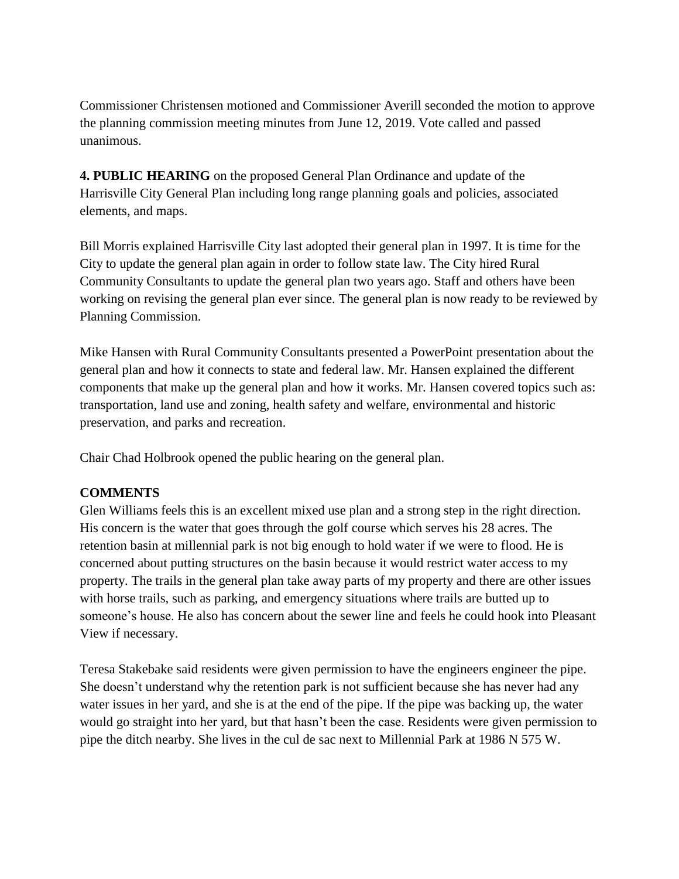Commissioner Christensen motioned and Commissioner Averill seconded the motion to approve the planning commission meeting minutes from June 12, 2019. Vote called and passed unanimous.

**4. PUBLIC HEARING** on the proposed General Plan Ordinance and update of the Harrisville City General Plan including long range planning goals and policies, associated elements, and maps.

Bill Morris explained Harrisville City last adopted their general plan in 1997. It is time for the City to update the general plan again in order to follow state law. The City hired Rural Community Consultants to update the general plan two years ago. Staff and others have been working on revising the general plan ever since. The general plan is now ready to be reviewed by Planning Commission.

Mike Hansen with Rural Community Consultants presented a PowerPoint presentation about the general plan and how it connects to state and federal law. Mr. Hansen explained the different components that make up the general plan and how it works. Mr. Hansen covered topics such as: transportation, land use and zoning, health safety and welfare, environmental and historic preservation, and parks and recreation.

Chair Chad Holbrook opened the public hearing on the general plan.

### **COMMENTS**

Glen Williams feels this is an excellent mixed use plan and a strong step in the right direction. His concern is the water that goes through the golf course which serves his 28 acres. The retention basin at millennial park is not big enough to hold water if we were to flood. He is concerned about putting structures on the basin because it would restrict water access to my property. The trails in the general plan take away parts of my property and there are other issues with horse trails, such as parking, and emergency situations where trails are butted up to someone's house. He also has concern about the sewer line and feels he could hook into Pleasant View if necessary.

Teresa Stakebake said residents were given permission to have the engineers engineer the pipe. She doesn't understand why the retention park is not sufficient because she has never had any water issues in her yard, and she is at the end of the pipe. If the pipe was backing up, the water would go straight into her yard, but that hasn't been the case. Residents were given permission to pipe the ditch nearby. She lives in the cul de sac next to Millennial Park at 1986 N 575 W.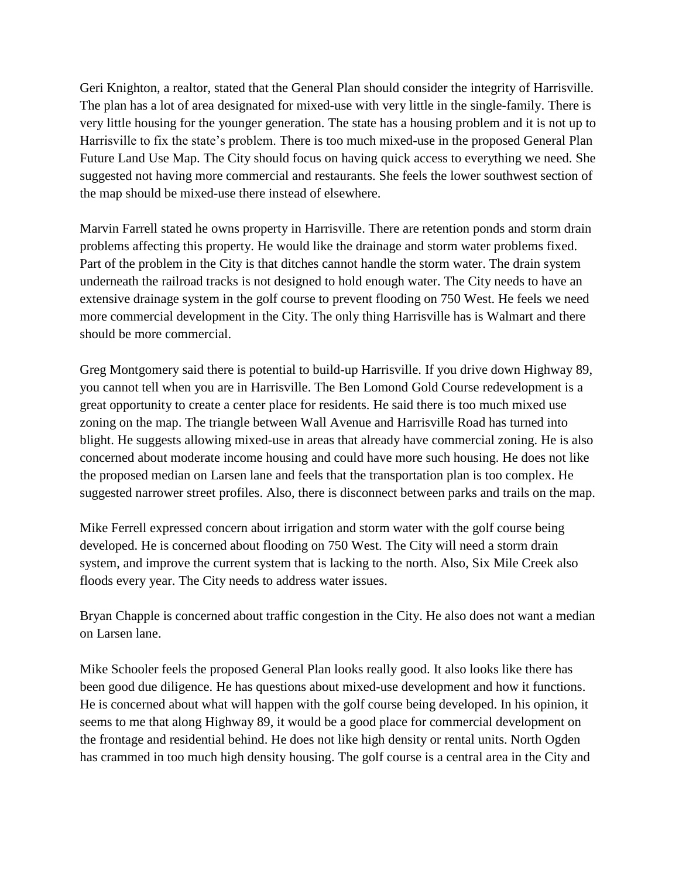Geri Knighton, a realtor, stated that the General Plan should consider the integrity of Harrisville. The plan has a lot of area designated for mixed-use with very little in the single-family. There is very little housing for the younger generation. The state has a housing problem and it is not up to Harrisville to fix the state's problem. There is too much mixed-use in the proposed General Plan Future Land Use Map. The City should focus on having quick access to everything we need. She suggested not having more commercial and restaurants. She feels the lower southwest section of the map should be mixed-use there instead of elsewhere.

Marvin Farrell stated he owns property in Harrisville. There are retention ponds and storm drain problems affecting this property. He would like the drainage and storm water problems fixed. Part of the problem in the City is that ditches cannot handle the storm water. The drain system underneath the railroad tracks is not designed to hold enough water. The City needs to have an extensive drainage system in the golf course to prevent flooding on 750 West. He feels we need more commercial development in the City. The only thing Harrisville has is Walmart and there should be more commercial.

Greg Montgomery said there is potential to build-up Harrisville. If you drive down Highway 89, you cannot tell when you are in Harrisville. The Ben Lomond Gold Course redevelopment is a great opportunity to create a center place for residents. He said there is too much mixed use zoning on the map. The triangle between Wall Avenue and Harrisville Road has turned into blight. He suggests allowing mixed-use in areas that already have commercial zoning. He is also concerned about moderate income housing and could have more such housing. He does not like the proposed median on Larsen lane and feels that the transportation plan is too complex. He suggested narrower street profiles. Also, there is disconnect between parks and trails on the map.

Mike Ferrell expressed concern about irrigation and storm water with the golf course being developed. He is concerned about flooding on 750 West. The City will need a storm drain system, and improve the current system that is lacking to the north. Also, Six Mile Creek also floods every year. The City needs to address water issues.

Bryan Chapple is concerned about traffic congestion in the City. He also does not want a median on Larsen lane.

Mike Schooler feels the proposed General Plan looks really good. It also looks like there has been good due diligence. He has questions about mixed-use development and how it functions. He is concerned about what will happen with the golf course being developed. In his opinion, it seems to me that along Highway 89, it would be a good place for commercial development on the frontage and residential behind. He does not like high density or rental units. North Ogden has crammed in too much high density housing. The golf course is a central area in the City and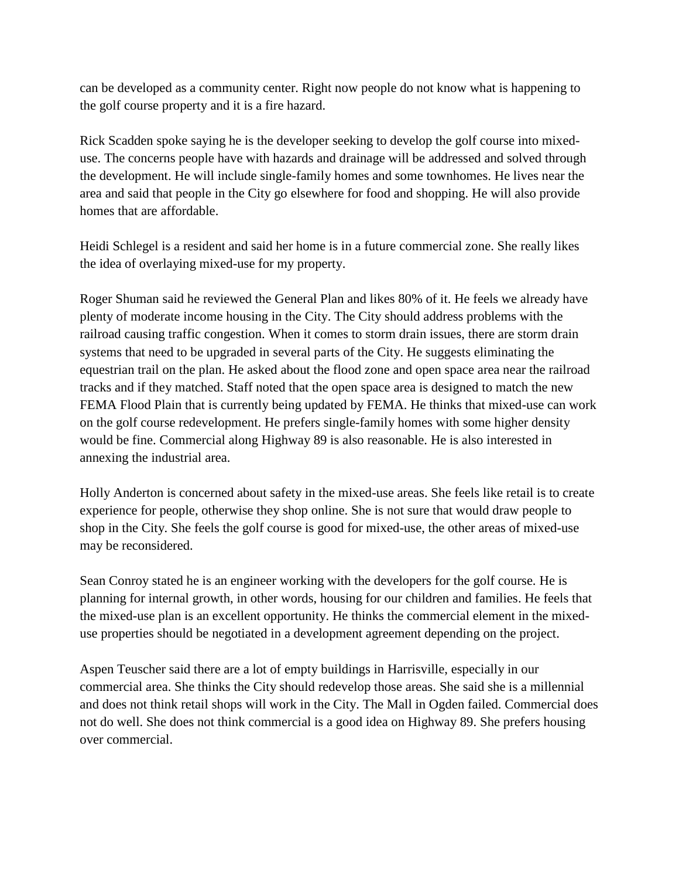can be developed as a community center. Right now people do not know what is happening to the golf course property and it is a fire hazard.

Rick Scadden spoke saying he is the developer seeking to develop the golf course into mixeduse. The concerns people have with hazards and drainage will be addressed and solved through the development. He will include single-family homes and some townhomes. He lives near the area and said that people in the City go elsewhere for food and shopping. He will also provide homes that are affordable.

Heidi Schlegel is a resident and said her home is in a future commercial zone. She really likes the idea of overlaying mixed-use for my property.

Roger Shuman said he reviewed the General Plan and likes 80% of it. He feels we already have plenty of moderate income housing in the City. The City should address problems with the railroad causing traffic congestion. When it comes to storm drain issues, there are storm drain systems that need to be upgraded in several parts of the City. He suggests eliminating the equestrian trail on the plan. He asked about the flood zone and open space area near the railroad tracks and if they matched. Staff noted that the open space area is designed to match the new FEMA Flood Plain that is currently being updated by FEMA. He thinks that mixed-use can work on the golf course redevelopment. He prefers single-family homes with some higher density would be fine. Commercial along Highway 89 is also reasonable. He is also interested in annexing the industrial area.

Holly Anderton is concerned about safety in the mixed-use areas. She feels like retail is to create experience for people, otherwise they shop online. She is not sure that would draw people to shop in the City. She feels the golf course is good for mixed-use, the other areas of mixed-use may be reconsidered.

Sean Conroy stated he is an engineer working with the developers for the golf course. He is planning for internal growth, in other words, housing for our children and families. He feels that the mixed-use plan is an excellent opportunity. He thinks the commercial element in the mixeduse properties should be negotiated in a development agreement depending on the project.

Aspen Teuscher said there are a lot of empty buildings in Harrisville, especially in our commercial area. She thinks the City should redevelop those areas. She said she is a millennial and does not think retail shops will work in the City. The Mall in Ogden failed. Commercial does not do well. She does not think commercial is a good idea on Highway 89. She prefers housing over commercial.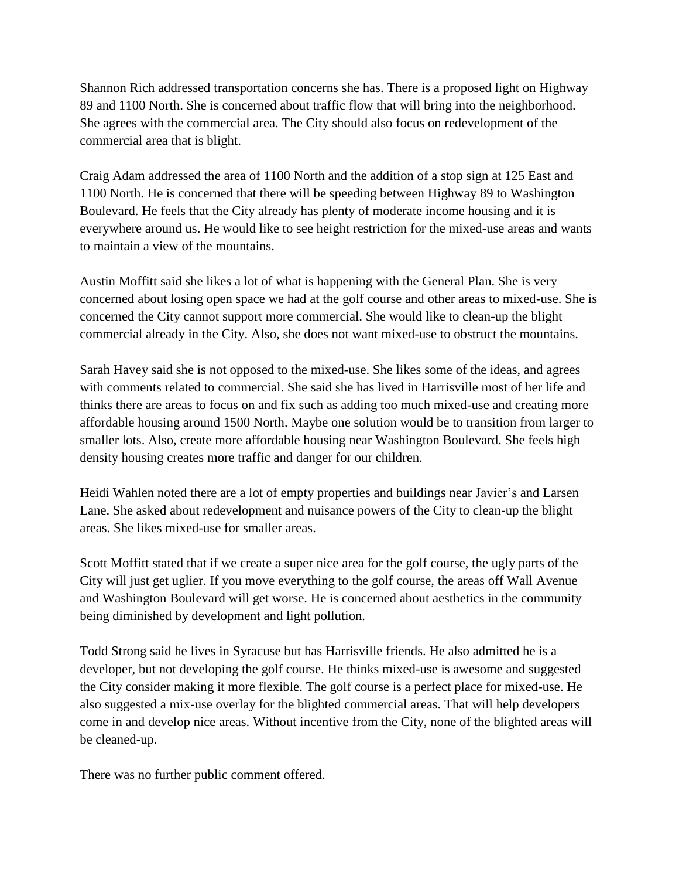Shannon Rich addressed transportation concerns she has. There is a proposed light on Highway 89 and 1100 North. She is concerned about traffic flow that will bring into the neighborhood. She agrees with the commercial area. The City should also focus on redevelopment of the commercial area that is blight.

Craig Adam addressed the area of 1100 North and the addition of a stop sign at 125 East and 1100 North. He is concerned that there will be speeding between Highway 89 to Washington Boulevard. He feels that the City already has plenty of moderate income housing and it is everywhere around us. He would like to see height restriction for the mixed-use areas and wants to maintain a view of the mountains.

Austin Moffitt said she likes a lot of what is happening with the General Plan. She is very concerned about losing open space we had at the golf course and other areas to mixed-use. She is concerned the City cannot support more commercial. She would like to clean-up the blight commercial already in the City. Also, she does not want mixed-use to obstruct the mountains.

Sarah Havey said she is not opposed to the mixed-use. She likes some of the ideas, and agrees with comments related to commercial. She said she has lived in Harrisville most of her life and thinks there are areas to focus on and fix such as adding too much mixed-use and creating more affordable housing around 1500 North. Maybe one solution would be to transition from larger to smaller lots. Also, create more affordable housing near Washington Boulevard. She feels high density housing creates more traffic and danger for our children.

Heidi Wahlen noted there are a lot of empty properties and buildings near Javier's and Larsen Lane. She asked about redevelopment and nuisance powers of the City to clean-up the blight areas. She likes mixed-use for smaller areas.

Scott Moffitt stated that if we create a super nice area for the golf course, the ugly parts of the City will just get uglier. If you move everything to the golf course, the areas off Wall Avenue and Washington Boulevard will get worse. He is concerned about aesthetics in the community being diminished by development and light pollution.

Todd Strong said he lives in Syracuse but has Harrisville friends. He also admitted he is a developer, but not developing the golf course. He thinks mixed-use is awesome and suggested the City consider making it more flexible. The golf course is a perfect place for mixed-use. He also suggested a mix-use overlay for the blighted commercial areas. That will help developers come in and develop nice areas. Without incentive from the City, none of the blighted areas will be cleaned-up.

There was no further public comment offered.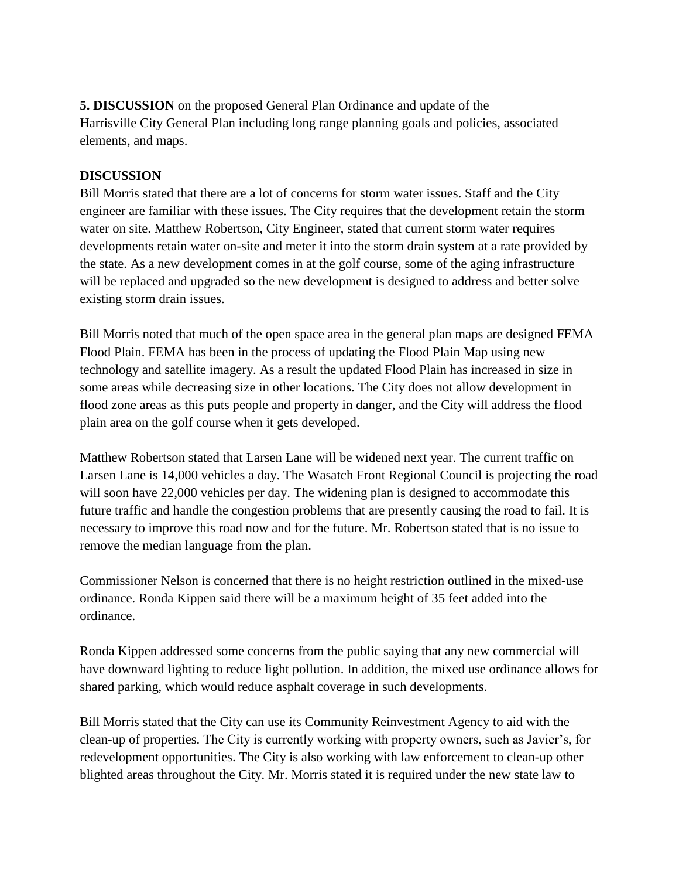**5. DISCUSSION** on the proposed General Plan Ordinance and update of the Harrisville City General Plan including long range planning goals and policies, associated elements, and maps.

#### **DISCUSSION**

Bill Morris stated that there are a lot of concerns for storm water issues. Staff and the City engineer are familiar with these issues. The City requires that the development retain the storm water on site. Matthew Robertson, City Engineer, stated that current storm water requires developments retain water on-site and meter it into the storm drain system at a rate provided by the state. As a new development comes in at the golf course, some of the aging infrastructure will be replaced and upgraded so the new development is designed to address and better solve existing storm drain issues.

Bill Morris noted that much of the open space area in the general plan maps are designed FEMA Flood Plain. FEMA has been in the process of updating the Flood Plain Map using new technology and satellite imagery. As a result the updated Flood Plain has increased in size in some areas while decreasing size in other locations. The City does not allow development in flood zone areas as this puts people and property in danger, and the City will address the flood plain area on the golf course when it gets developed.

Matthew Robertson stated that Larsen Lane will be widened next year. The current traffic on Larsen Lane is 14,000 vehicles a day. The Wasatch Front Regional Council is projecting the road will soon have 22,000 vehicles per day. The widening plan is designed to accommodate this future traffic and handle the congestion problems that are presently causing the road to fail. It is necessary to improve this road now and for the future. Mr. Robertson stated that is no issue to remove the median language from the plan.

Commissioner Nelson is concerned that there is no height restriction outlined in the mixed-use ordinance. Ronda Kippen said there will be a maximum height of 35 feet added into the ordinance.

Ronda Kippen addressed some concerns from the public saying that any new commercial will have downward lighting to reduce light pollution. In addition, the mixed use ordinance allows for shared parking, which would reduce asphalt coverage in such developments.

Bill Morris stated that the City can use its Community Reinvestment Agency to aid with the clean-up of properties. The City is currently working with property owners, such as Javier's, for redevelopment opportunities. The City is also working with law enforcement to clean-up other blighted areas throughout the City. Mr. Morris stated it is required under the new state law to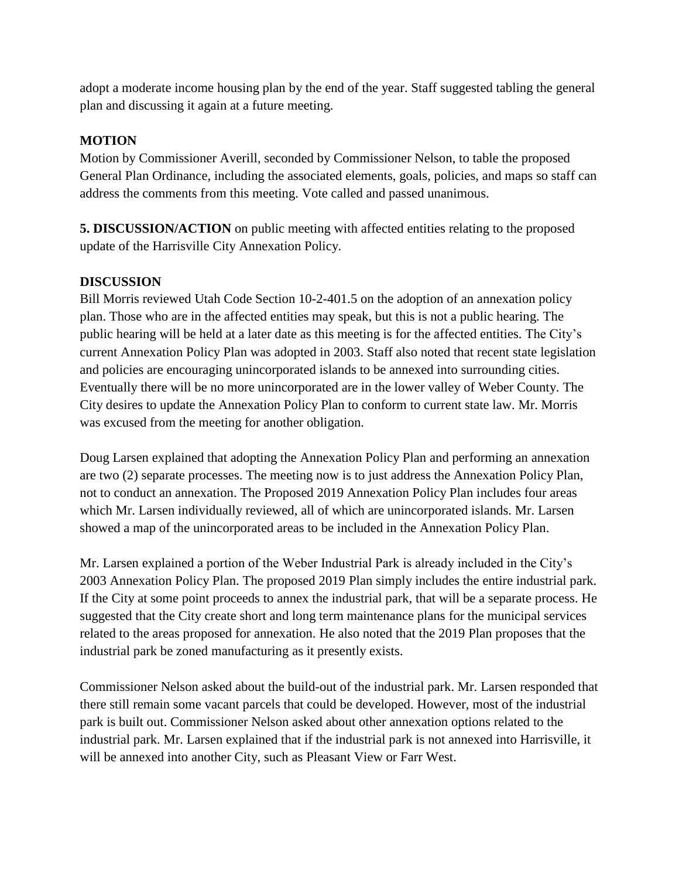adopt a moderate income housing plan by the end of the year. Staff suggested tabling the general plan and discussing it again at a future meeting.

### **MOTION**

Motion by Commissioner Averill, seconded by Commissioner Nelson, to table the proposed General Plan Ordinance, including the associated elements, goals, policies, and maps so staff can address the comments from this meeting. Vote called and passed unanimous.

**5. DISCUSSION/ACTION** on public meeting with affected entities relating to the proposed update of the Harrisville City Annexation Policy.

### **DISCUSSION**

Bill Morris reviewed Utah Code Section 10-2-401.5 on the adoption of an annexation policy plan. Those who are in the affected entities may speak, but this is not a public hearing. The public hearing will be held at a later date as this meeting is for the affected entities. The City's current Annexation Policy Plan was adopted in 2003. Staff also noted that recent state legislation and policies are encouraging unincorporated islands to be annexed into surrounding cities. Eventually there will be no more unincorporated are in the lower valley of Weber County. The City desires to update the Annexation Policy Plan to conform to current state law. Mr. Morris was excused from the meeting for another obligation.

Doug Larsen explained that adopting the Annexation Policy Plan and performing an annexation are two (2) separate processes. The meeting now is to just address the Annexation Policy Plan, not to conduct an annexation. The Proposed 2019 Annexation Policy Plan includes four areas which Mr. Larsen individually reviewed, all of which are unincorporated islands. Mr. Larsen showed a map of the unincorporated areas to be included in the Annexation Policy Plan.

Mr. Larsen explained a portion of the Weber Industrial Park is already included in the City's 2003 Annexation Policy Plan. The proposed 2019 Plan simply includes the entire industrial park. If the City at some point proceeds to annex the industrial park, that will be a separate process. He suggested that the City create short and long term maintenance plans for the municipal services related to the areas proposed for annexation. He also noted that the 2019 Plan proposes that the industrial park be zoned manufacturing as it presently exists.

Commissioner Nelson asked about the build-out of the industrial park. Mr. Larsen responded that there still remain some vacant parcels that could be developed. However, most of the industrial park is built out. Commissioner Nelson asked about other annexation options related to the industrial park. Mr. Larsen explained that if the industrial park is not annexed into Harrisville, it will be annexed into another City, such as Pleasant View or Farr West.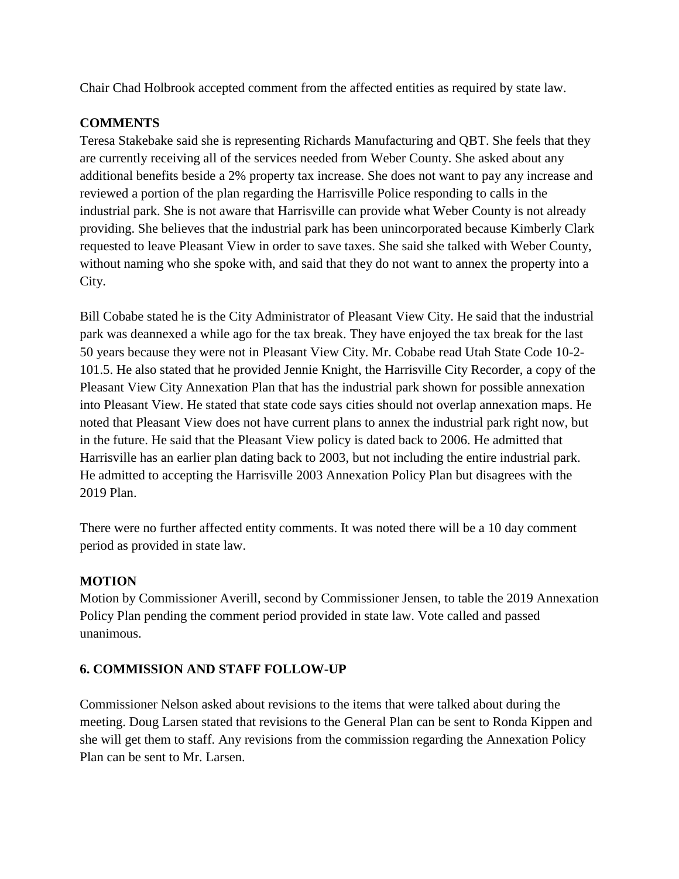Chair Chad Holbrook accepted comment from the affected entities as required by state law.

# **COMMENTS**

Teresa Stakebake said she is representing Richards Manufacturing and QBT. She feels that they are currently receiving all of the services needed from Weber County. She asked about any additional benefits beside a 2% property tax increase. She does not want to pay any increase and reviewed a portion of the plan regarding the Harrisville Police responding to calls in the industrial park. She is not aware that Harrisville can provide what Weber County is not already providing. She believes that the industrial park has been unincorporated because Kimberly Clark requested to leave Pleasant View in order to save taxes. She said she talked with Weber County, without naming who she spoke with, and said that they do not want to annex the property into a City.

Bill Cobabe stated he is the City Administrator of Pleasant View City. He said that the industrial park was deannexed a while ago for the tax break. They have enjoyed the tax break for the last 50 years because they were not in Pleasant View City. Mr. Cobabe read Utah State Code 10-2- 101.5. He also stated that he provided Jennie Knight, the Harrisville City Recorder, a copy of the Pleasant View City Annexation Plan that has the industrial park shown for possible annexation into Pleasant View. He stated that state code says cities should not overlap annexation maps. He noted that Pleasant View does not have current plans to annex the industrial park right now, but in the future. He said that the Pleasant View policy is dated back to 2006. He admitted that Harrisville has an earlier plan dating back to 2003, but not including the entire industrial park. He admitted to accepting the Harrisville 2003 Annexation Policy Plan but disagrees with the 2019 Plan.

There were no further affected entity comments. It was noted there will be a 10 day comment period as provided in state law.

# **MOTION**

Motion by Commissioner Averill, second by Commissioner Jensen, to table the 2019 Annexation Policy Plan pending the comment period provided in state law. Vote called and passed unanimous.

### **6. COMMISSION AND STAFF FOLLOW-UP**

Commissioner Nelson asked about revisions to the items that were talked about during the meeting. Doug Larsen stated that revisions to the General Plan can be sent to Ronda Kippen and she will get them to staff. Any revisions from the commission regarding the Annexation Policy Plan can be sent to Mr. Larsen.